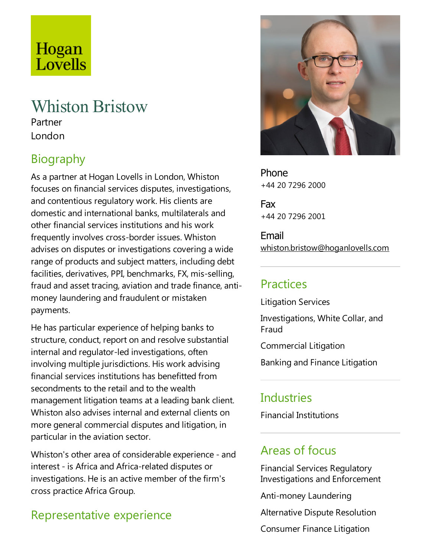# Hogan Lovells

## Whiston Bristow

Partner London

## Biography

As a partner at Hogan Lovells in London, Whiston focuses on financial services disputes, investigations, and contentious regulatory work. His clients are domesticand international banks, multilaterals and other financial services institutions and his work frequently involves cross-border issues. Whiston advises on disputes or investigations covering a wide range of products and subject matters, including debt facilities, derivatives, PPI, benchmarks,FX, mis-selling, fraud and asset tracing, aviation and trade finance, antimoney laundering and fraudulent or mistaken payments.

He has particular experience of helping banks to structure, conduct, report on and resolve substantial internal and regulator-led investigations, often involving multiple jurisdictions. His work advising financial services institutions has benefitted from secondments to the retail and to the wealth management litigation teams at a leading bank client. Whiston also advises internal and external clients on more general commercial disputes and litigation, in particular in the aviation sector.

Whiston's other area of considerable experience - and interest - is Africa and Africa-related disputes or investigations. He is an active member of the firm's cross practice Africa Group.

## Representative experience



Phone +44 20 7296 2000

Fax +44 20 7296 2001

Email whiston.bristow@hoganlovells.com

#### Practices

Litigation Services

Investigations, White Collar, and Fraud

Commercial Litigation

Banking and Finance Litigation

#### **Industries**

Financial Institutions

## Areas of focus

Financial Services Regulatory Investigations and Enforcement

Anti-money Laundering

Alternative Dispute Resolution

Consumer Finance Litigation